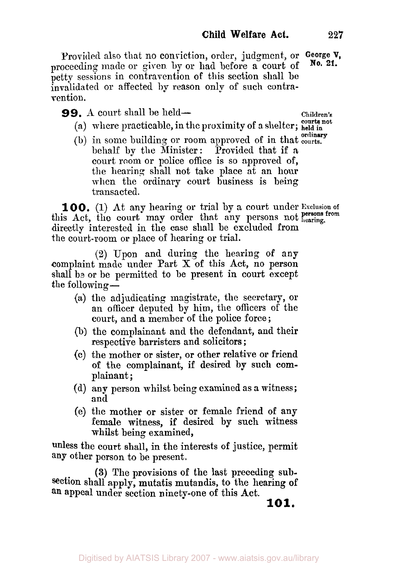Provided also that no conviction, order, judgment, or **George V,**  proceeding made or given by or had before a court of petty sessions in contravention of this section shall be invalidated or affected by reason only of such contravention. **No. 21.** 

**99.** A court shall be held— Children's

**courts not** 

- (a) where practicable, in the proximity of a shelter; **held in**
- (b) in some building or room approved of in that courts. behalf by the Minister: Provided that if a court room or police office is so approved of, the hearing shall not take place at an hour when the ordinary court business is being transacted.

**100. (1)** At any hearing or trial by a court under **Exclusion of**  this Act, the court may order that any persons not **hearing**, directly interested in the case shall be excluded from the court-room or place of hearing or trial.

**(2)** Upon and during the hearing **of** any complaint made under Part X of this Act, no person shall be or be permitted to be present in court except the following  $-$ 

- (a) the adjudicating magistrate, the secretary, or an officer deputed by him, the officers of the court, and a member of the police force ;
- (b) the complainant and the defendant, and their respective barristers and solicitors ;
- (c) the mother or sister, or other relative or friend of the complainant, if desired **by** such com-plainant ;
- (d) any person whilst being examined as a witness; and
- (e) the mother or sister or female friend of any female witness, if desired by such witness whilst being examined,

unless the court shall, in the interests of justice, permit any other person to be present,

**(3)** The provisions **of** the last preceding subsection shall apply, mutatis mutandis, to the hearing of **an** appeal under section ninety-one of this Act.

**101.**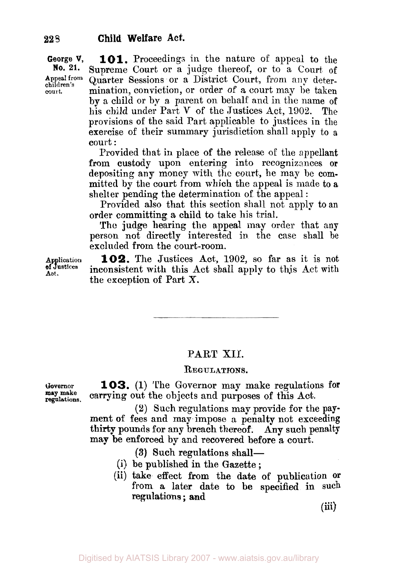**George V, No. 21. Appeal from children's 101.** Proceedings in the nature of appeal to the Supreme Court or a judge thereof, or to a Court of Quarter Sessions or a District Court, from any determination, conviction, or order of a court may he taken by a child or by a parent on behalf and in the name of his child under Part **V** of the Justices Act, 1902. The provisions of the said Part applicable to justices in the exercise of their summary jurisdiction shall apply to a court :

> Provided that in place of the release of the appellant from custody upon entering into recognizances **or**  depositing any money with the court, he may be committed by the court from which the appeal is made to a shelter pending the determination of the appeal :

> Provided also that this section shall not apply to an order committing **a** child to take his trial.

> **The** judge hearing the appeal may order that any person not directly interested in the case shall be excluded from the court-room.

**Application 102.** The Justices Act, 1902, so far as it is not inconsistent with this Act shall apply to this Act with the exception of Part X.

# PART XII.

### **REGULATIONS.**

**Governor 103. (1)** The Governor may make regulations **for regulations. may make** carrying out the objects and purposes **of** this Act.

> **(2)** Such regulations may provide for the **pay**ment **of** fees and may impose a penalty not exceeding thirty **pounds for any** breach thereof. Any **such** penalty may be enforced by and recovered before a court.

> > **(3) Such** regulations shall-

- (b) such regulations shall—<br>(i) be published in the Gazette;
- (ii) take effect **from** the **date of** publication **or**  from a later date to be specified in such regulations ; **and**

**(iii)** 

**of Justices Act.** 

**court.**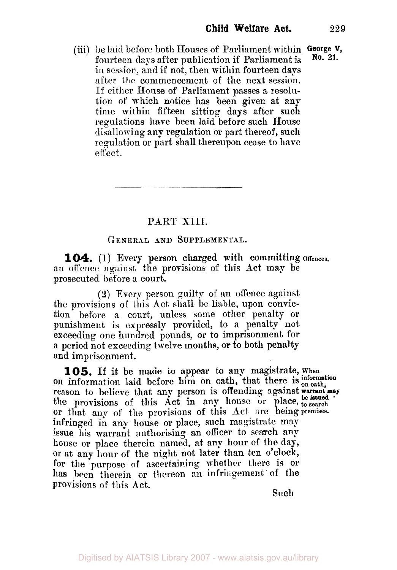(iii) **be** laid before both Houses of Parliament within **George V,**  fourteen days after publication if Parliament is in session, and if not, then within fourteen days after the commencement of the next session. If either House of Parliament passes a resolution of which notice has been given at any time within fifteen sitting days after such regulations have been laid before such House disallowing any regulation or part thereof, such regulation or part shall thereupon cease to have effect. **No. 21.** 

# PART XIII.

### **GENERAL AND SUPPLEMENTAL.**

an offence against the provisions of this Act may be prosecuted before a court. 104. (1) Every person charged with committing offences.

*(2)* Every person guilty of an offence against the provisions of this Act shall be liable, upon conviction before a court, unless some other penalty or punishment is expressly provided, to a penalty not exceeding one hundred pounds, **or** to imprisonment for **a** period not exceeding twelve months, **or to** both penalty and imprisonment.

on information laid before him on oath, that there **is on oath,**  the provisions of this Act in any house or place, to search **or** that any of the provisions of this Act are being premises. infringed in any house or place, such magistrate may **issue** his warrant authorising an officer to search any house or place therein named, at any hour of the day, or at any hour of the night not later than ten o'clock, for the purpose of ascertaining whether there is or has been therein or thereon **an** infringement of **the**  provisions of this Act. **105.** If it be made to appear to any magistrate, when **warrant may** reason to believe that any person is offending against **be issued** 

**Such**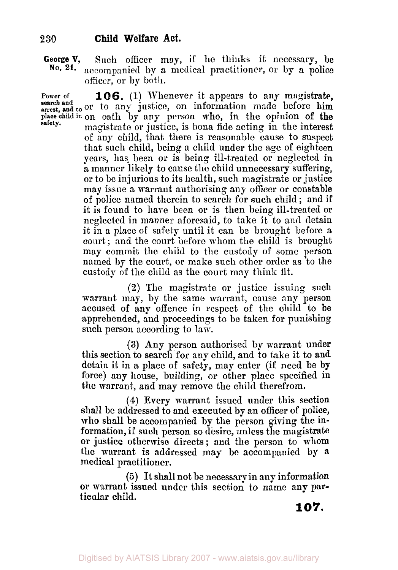## **2 30 Child Welfare Act.**

**George V,** Such officer may, if he thinks it necessary, be No. 21. accompanied by a medical practitioner or by a police accompanied by a medical practitioner, or by a police officer, or **by** both.

**Power of 106. (1)** Whenever it appears to any magistrate, search and to or to any justice, on information made before him **place child in** on oath by any person who, in the opinion of the magistrate or justice, is bona fide acting in the interest. of any child, that there is reasonable cause to suspect that such child, being a child under the age of eighteen years, has- been **or** is being ill-treated or neglected in a manner likely to cause the child unnecessary suffering, or to be injurious to its health, such magistrate or justice may issue a warrant authorising any officer or constable of police named therein to search for such child ; and if it is found to hare been or is then being ill-treated or neglected in manner aforesaid, to take it to and detain it in a place of safety until it can be brought before *a*  court ; and the court before whom the child is brought may commit the child to the custody of some person named by the court, or make such other order as to the custody of the child as the court may think fit. **safety.** 

> $(2)$  The magistrate or justice issuing such warrant may, by the same warrant, cause any person accused of any offence in respect of the child to be apprehended, and proceedings to be taken for punishing such person according to law.

> **(3)** Any person authorised by warrant under this section to search for any child, and to take it to and detain it in a place of safety, may enter (i€ need be by force) any house, building, or other place specified in the warrant, and may remove the child therefrom.

> **(4)** Every warrant issued under this section shall be addressed to and executed by an officer of police, who shall be accompanied by the person giving the information, if such person so desire, unless the magistrate or justice otherwise directs; and the person to whom **the** warrant is addressed may be accompanied **by a**  medical practitioner.

> *(5)* **It** shall not be necessary in any informatlion or warrant issued under this section to name any particular child.

**107.**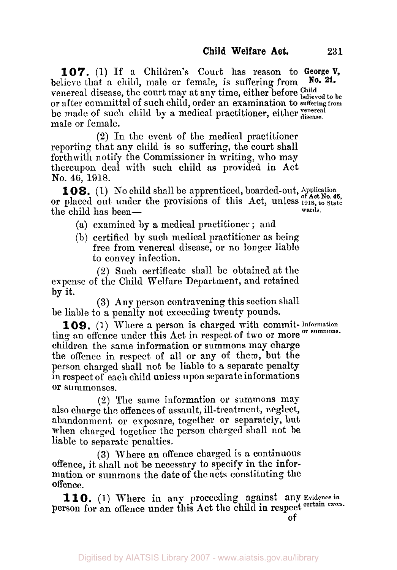**107.** (1) If a Children's Court has reason to **George V,**  believe that a child, male or female, is suffering from venereal disease, the court may at any time, either before Child believed to be or after committal of such child, order an examination to **suffering from**  male or female. **No. 21.**  be made of such child by a medical practitioner, either *disease*.

**(2)** In the event of the medical practitioner reporting that any child is so suffering, the court shall forthwith notify the Commissioner in writing, who may thereupon deal with such child as provided in Act No. **46,** 1918.

or placed out under the provisions of this Act, unless 1918, to State or placed 108. (1) No child shall be apprenticed, boarded-out, Application the child has been-<br> **the child has been**the child has been— $\qquad$  (a) examined by a medical practitioner; and

- 
- (b) certified by such medical practitioner as being free from venereal disease, or no longer liable to convey infection.

(2) Such certificate shall be obtained at the expense of the Child Welfare Department, and retained by it.

**(3) Any** person contravening this section shall be liable to a penalty not exceeding twenty pounds.

**109.** (1) Where a person is charged with commit- **Information**  ting an offence under this Act in respect of two or more children the same information or summons may charge the offence in respect of all or any of them, but the person charged shall not be liable to a separate penalty in respect of each child unless upon separate informations **or** summonses.

**(2)** The same information *or* summons may also charge the offences of assault, ill-treatment, neglect, abandonment or exposure, together or separately, but when charged together the person charged shall not be liable to separate penalties.

**(3)** Where an offence charged is a continuous offence, it shall not be necessary to specify in the information or summons the date of the acts constituting the offence.

person for an offence under this Act the child in respect certain cases. 110. (1) Where in any proceeding against any Evidence in

**of**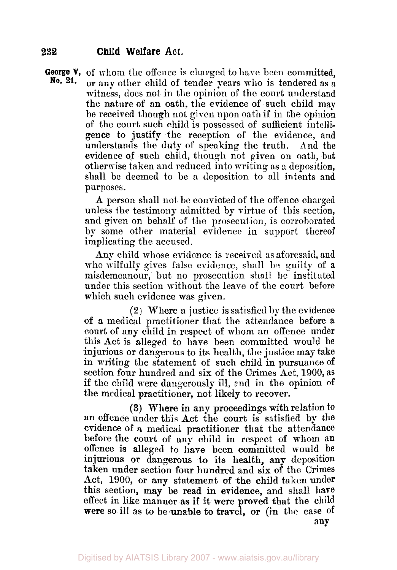## **232 Child Welfare Act.**

**George V,** of whom the offence is charged to have been committed,<br>**No. 21.** or any other child of tender years who is tendered as a or any other child of tender years who is tendered as a witness, does not in the opinion of the court understand the nature of an oath, the evidence **of** such child map be received though not given upon oath if in the opinion of the court such child is possessed of sufficient intelligence to justify the reception of the evidence, and understands the duty of speaking the truth. And the evidence **of** such child, though not given on **oath,** but otherwise taken **and** reduced into writing as a deposition, shall be deemed to be a deposition to all intents and purposes.

> **A** person shall not be convicted of the offence charged unless the testimony admitted by virtue of this section, and given on behalf of the prosecution, is corroborated by some other material evidence in support thereof implicating the accused.

> Any child whose evidence is received as aforesaid, and who wilfully gives false evidence, shall be guilty of a misdemeanour, but no prosecution shall be instituted under this section without the leave of the court before which such evidence was given.

> (2) Where a justice is satisfied by the evidence of a medical practitioner that the attendance before a court of any child in respect of whom an offence under this Act is alleged to have been committed would be injurious or dangerous to its health, the justice may take in writing the statement of such child in pursuance of section four hundred and six of the Crimes Act, 1900, as if the child were dangerously ill, and in the opinion **of**  the medical practitioner, not likely to recover.

> **(3) Where** in any proceedings with relation to an offence under this Act the court is satisfied by the evidence of a medical practitioner that the attendance before the court of any child in respect of whom an offence is alleged to have been committed would be injurious **or** dangerous to its health, any deposition taken under section four hundred and six of the Crimes Act, **1900, or any** statement **of** the child taken under this section, may be read in evidence, and shall have effect in like manner **as** if it were proved that the child were so ill as to be unable to travel, **or (in** the case of any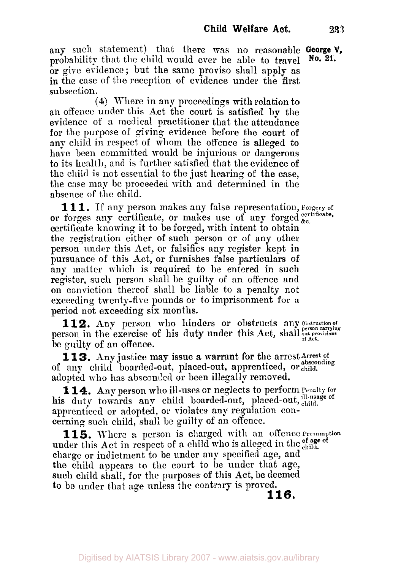any such statement) that there was no reasonable **George V, nrobability that the child would ever be able to travel** or give evidence; but the same proviso shall apply **as**  in the case of the reception of evidence under the first subsection.

**(4)** Where in any proceedings with relation to an offence under this Act the court is satisfied **by** the evidence of a medical practitioner that the attendance for the purpose of giving evidence before the court of any child in respect of whom the offence is alleged to have been committed would be injurious or dangerous to its health, and is further satisfied that the evidence of the child is not essential to the just hearing of the case, the case may be proceeded with and determined in the absence of the child.

**111. If any** person makes any false representation, Forgery **of**  or forges any certificate, or makes use of any forged  $_{\text{etc.}}^{c}$ certificate knowing it to be forged, with intent to obtain the registration either of such person or **of** any other person under this Act, or falsifies any register kept in pursuance of this Act, or furnishes false particulars **of**  any matter which is required to be entered in such register, such person shall be guilty of an offence and on conviction thereof shall be liable to a penalty not exceeding twenty-five pounds or to inprisonment for **a**  period not exceeding **six** months.

112. Any person who hinders or obstructs any Obstruction of person in the exercise of his duty under this Act, shall person carrying **be** guilty of an offence.

113. Any justice may issue a warrant for the arrest Arrest of of any child boarded-out, placed-out, apprenticed, or child. adopted **who** has absconded or been illegally removed.

**114.** Any person who ill-uses or neglects to perform **Penalty** for his duty towards any child boarded-out, placed-out, child. apprenticed or adopted, or violates any regulation concerning such child, **shall** be guilty of **an** offence.

under this Act in respect of a child who is alleged in the of age of **charge** or indictment to be under any specified age, and the child appears to the court to be under that age, such child shall, for the purposes of this Act, be deemed to be under that age unless the contrary is proved. **115.** Where *a* person is charged with an offence **Presumption 116.**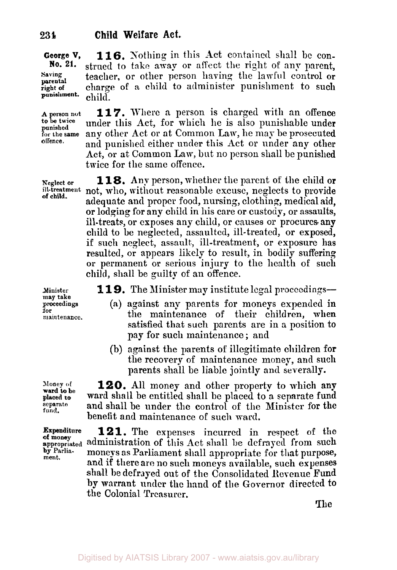**George V, 116.** Nothing in this Act contained shall be con-<br>**No. 21.** strued to take away or affect the right of any parent strued to take away or affect the right of any parent, **Saving** teacher, or other person having the lawful control or right of charge of a child to administer punishment to such child. **parental punishment.** 

**person not for the same 117.** Where a person is charged with an offence under this Act, for which he is also punishable under any other Act or at Common Law, he may be prosecuted and punished either under this Act or under any other Act, or at Common Law, but no person shall be punished twice for the same offence.

**Neglect or 118.** Any person, whether the parent of the child or<br>ill-treatment not who, without reasonable excuse, neglects to provide not, who, without reasonable excuse, neglects to provide adequate and proper food, nursing, clothing, medical aid, or lodging for any child in his care or custody, or assaults, ill-treats, or exposes any child, or causes or procures. any child to be neglected, assaulted, ill-treated, or **exposed,**  if such neglect, assault., ill-treatment, or exposure has resulted, or appears likely to result, in bodily suffering or permanent or serious injury to the health of such child, shall be guilty of an offence.

**119.** The Minister may institute legal proceedings—

- (a) against any parents for moneys expended **in**  the maintenance of their children, when satisfied that such parents are in a position to pay for such maintenance ; and
- (b) against the parents of illegitimate children for the recovery of maintenance money, and such parents shall be liable jointly **and** severally.

**120.** All money and other property to which any ward shall be entitled shall be placed to *a* separate fund and shall be under the control of the Minister for the benefit and maintenance of such ward.

**121.** The expenses incurred in respect of the **a** appropriated administration of this Act shall be defrayed from such appropriate moneys as Parliament shall appropriate for that purpose by Parlia- moneys as Parliament shall appropriate for that purpose, and if there are no such moneys available, **such** expenses shall be defrayed out of the Consolidated Revenue Fund by warrant under the hand of the Governor directed to the Colonial Treasurer.

The

**Minister proceedings for may take maintenance.** 

**to be twice punished** 

**offence,** 

**of child.** 

**Money of separate fund. ward to be** 

**of money**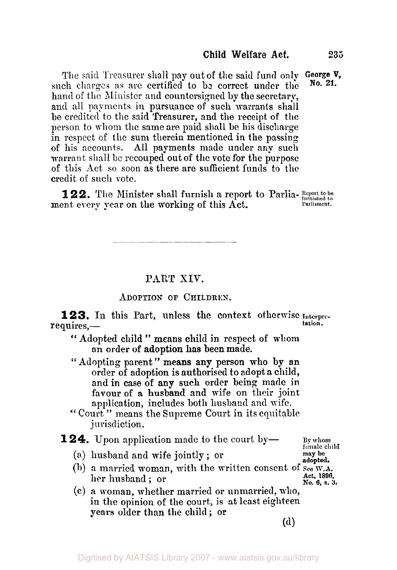The said Treasurer shall pay out of the said fund only **George V,**  such charges as arc certified to be correct **under** the hand of the Minister and countersigned **by** the secretary, and all payments in pursuance **of** such warrants shall be credited to the said Treasurer, and the receipt **of** the person to whom the same are paid shall be his discharge in respect of the sum therein mentioned in the passing of his accounts. All payments made under any such warrant shall be recouped out of the vote for the purpose of this Act so soon as there are sufficient funds to **the**  credit of such vote. **No. 21.** 

122. The Minister shall furnish a report to Parlia-Report to be ment every year on the working of this Act. Parliament.

## PART **XIV.**

## **ADOPTION OF CHILDREN.**

**123.** In this Part, unless the context otherwise *Interpre*-<br>requires,-

<' Adopted child '' means child in respect of whom an order **of** adoption **has** been made.

" Adopting parent " means **any person who by an**  order **of** adoption is authorised to adopt **a** child, and in case **of** any such order being made **in favour** of a husband and wife on their joint application, includes both husband and wife.

" Court" means the Supreme Court in its equitable jurisdiction.

## **124.** Upon application made to the court by — By whom

**(a)** husband and **wife** jointly ; or

**adopted. Act,** 1896, **No. 6, s. 3.**  (b) a married woman, with the written consent of *See* **W.A.**  her husband ; or

(c) a woman, whether married or unmarried, **who,**  in the opinion of the court, is at least eighteen **years** older than the child ; or

(d)

**female child may** be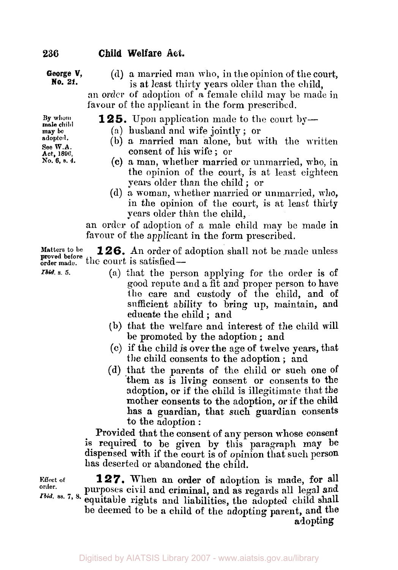# **236 Child Welfare** Act.

#### **George V, No. 21.**

**(d) a** married man who, in the opinion of the court, is at least thirty years older than the child,

an **order** of adoption of a female child may be made in favour of the applicant in the form prescribed.

**125.** Upon application made to the court by—

- (a) husband and wife jointly ; or
- **(b)** a married man alone, but with the written consent of his wife ; or
- (c) a man, whether married or unmarried, who, in the opinion of the court, is at least eighteen years older than the child ; or
- (d) a. woman, whether married or unmarried, who, in the opinion of the court, is at least thirty years older than the child,

an order of adoption of a male child may be made in favour of the applicant in the form prescribed.

**126.** An order of adoption shall not be made unless proved before the court is satisfied-**Matters** to **be** 

- *Ibid. s. 5.*
- **(a)** that the person applying for the order **is** of good repute and **a** fit and proper person to have the care and custody of the child, and **of**  sufficient ability to bring up, maintain, and educate the child ; and
- (b) that the welfare and interest of the child will be promoted by the adoption ; and
- (c) if the child is over the age of twelve years, that the child consents to the adoption ; and
- (d) that the parents of the child **or** such one of them as is living consent or consents to the adoption, or **if** the child is illegitimate that the mother consents to the adoption, or **if** the child **has a** guardian, that such guardian consents to the adoption :

Provided that the consent of any person whose consent **is** required to be given by this paragraph **may be**  dispensed with if the court is of opinion that such person **has** deserted or abandoned the child.

**Effect of order.** 

**127.** When **an** order **of** adoption is made, for all purposes civil and criminal, and as regards all legal and equitable rights and liabilities, the **adopted** child shall be deemed to be **a** child **of** the adopting parent, and the *Ibid.* ss. 7, 8. **adopting** 

**By whom mole child may be adopted. See W.A.** 

**Act, 1896, No. 6, s. 4.**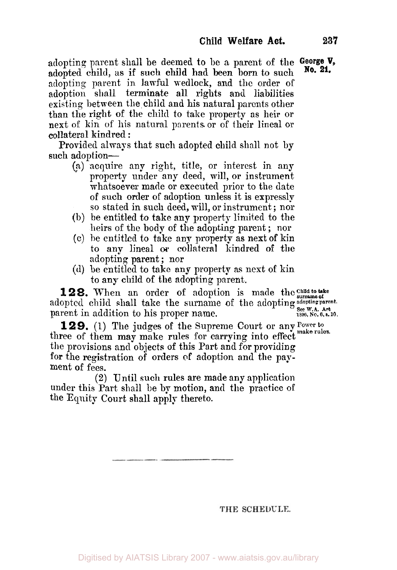adoptinq parent shall be deemed to be a parent of the **George V,**  adopted child, as if such child had been born to such adopting parent in lawful wedlock, and the order of adoption shall terminate all rights and liabilities existing between the child and his natural parents other than the right of the child to take property as heir or next of kin of his natural parents or of their lineal or collateral kindred:

Provided always that such adopted child shall not by such adoption-

- (?) acquire any right, title, or interest in any property under any deed, will, or instrument whatsoever made or executed prior to the date of such order of adoption unless it is expressly so stated in such deed, will, or instrument; nor
- (b) be entitled to take any property limited to the heirs of the body of the adopting parent ; nor
- (c) be entitled to take any property as next of kin to **any** lineal *or* collateral kindred **of** the adopting parent ; nor
- (d) be entitled to take any property as next of kin to any child of the adopting parent.

**128.** When an order of adoption is made the child to take adopted child shall take the surname of the adopting adopting parent. **See W.A. Act 1896, No. 6, s. 10.**  parent in addition to his proper name.

**129.** (1) The judges of the Supreme Court or any Power to three of them may make rules for carrying into effect make rules. the provisions and objects of this Part and for providing for the registration of orders of adoption and the payment of fees.

**(2)** Until such rules are made any application under this Part shall be by motion, and the practice of the Equity Court shall apply thereto.

THE SCHEDULE.

**No. 21.**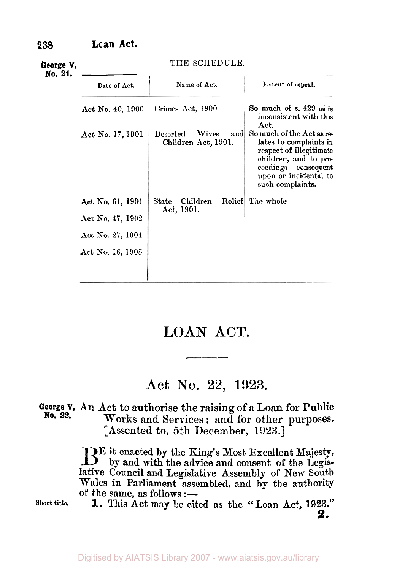| George V,<br>No. 21. | THE SCHEDULE.                                                                |                                                        |                                                                                                                                                                             |
|----------------------|------------------------------------------------------------------------------|--------------------------------------------------------|-----------------------------------------------------------------------------------------------------------------------------------------------------------------------------|
|                      | Date of Act.                                                                 | Name of Act.                                           | Extent of repeal.                                                                                                                                                           |
|                      | Act No. 40, 1900                                                             | Crimes Act, 1900                                       | So much of $s. 429$ as is<br>inconsistent with this<br>Act.                                                                                                                 |
|                      | Act No. 17, 1901                                                             | Wives<br><b>Deserted</b><br>and<br>Children Act, 1901. | So much of the Act as re-<br>lates to complaints in<br>respect of illegitimate<br>children, and to pro-<br>ceedings consequent<br>upon or incidental to<br>such complaints. |
|                      | Act No. 61, 1901<br>Act No. 47, 1902<br>Act No. 27, 1904<br>Act No. 16, 1905 | Children<br>$\operatorname{State}$<br>Act, 1901.       | Relief The whole.                                                                                                                                                           |

# **LOAN ACT.**

# **Act** No. **22, 1923.**

#### **George V, An** Act to authorise the raising of **a** Loan for Public **Works** and Services; and for other purposes. [Assented to, 5th December, **1923.\ No. 22.**

E it enacted by the King's Most Excellent Majesty, B by **and** with the advice and consent of the Legislative Council and Legislative Assembly of New South Wales in Parliament assembled, **and** by the authority of the same, as follows :-

**Short title.** 

**1.** This Act may be cited as the "Loan Act, 1923." **2.**